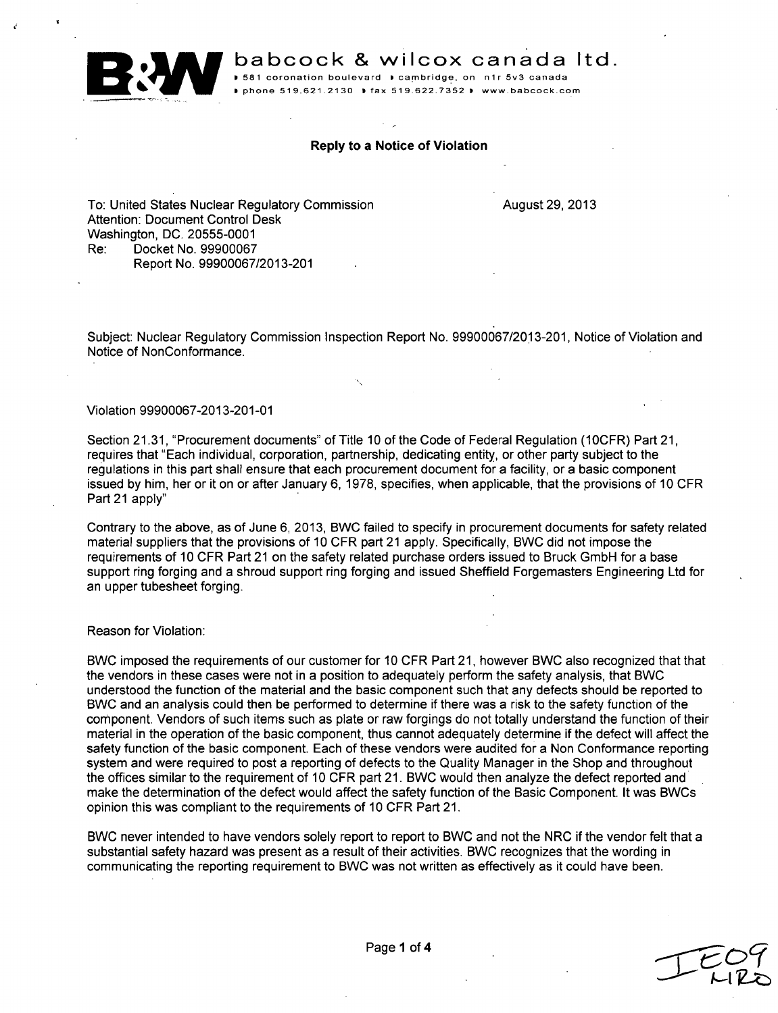

**B4:W** babcock **&** wilcox canada ltd.

**0 581** coronation boulevard **b** cambridge, on **n1r** 5v3 canada **<sup>P</sup>**phone **519.621.2130 0** fax **519.622.7352 1** www.babcock.com

# Reply to a Notice of Violation

To: United States Nuclear Regulatory Commission Attention: Document Control Desk Washington, DC. 20555-0001 Re: Docket No. 99900067 Report No. 99900067/2013-201

August 29, 2013

Subject: Nuclear Regulatory Commission Inspection Report No. 99900067/2013-201, Notice of Violation and Notice of NonConformance.

## Violation 99900067-2013-201-01

Section 21.31, "Procurement documents" of Title 10 of the Code of Federal Regulation (10CFR) Part 21, requires that "Each individual, corporation, partnership, dedicating entity, or other party subject to the regulations in this part shall ensure that each procurement document for a facility, or a basic component issued by him, her or it on or after January 6, 1978, specifies, when applicable, that the provisions of 10 CFR Part 21 apply"

Contrary to the above, as of June 6, 2013, BWC failed to specify in procurement documents for safety related material suppliers that the provisions of 10 CFR part 21 apply. Specifically, BWC did not impose the requirements of 10 CFR Part 21 on the safety related purchase orders issued to Bruck GmbH for a base support ring forging and a shroud support ring forging and issued Sheffield Forgemasters Engineering Ltd for an upper tubesheet forging.

## Reason for Violation:

BWC imposed the requirements of our customer for 10 CFR Part 21, however BWC also recognized that that the vendors in these cases were not in a position to adequately perform the safety analysis, that BWC understood the function of the material and the basic component such that any defects should be reported to BWC and an analysis could then be performed to determine if there was a risk to the safety function of the component. Vendors of such items such as plate or raw forgings do not totally understand the function of their material in the operation of the basic component, thus cannot adequately determine if the defect will affect the safety function of the basic component. Each of these vendors were audited for a Non Conformance reporting system and were required to post a reporting of defects to the Quality Manager in the Shop and throughout the offices similar to the requirement of 10 CFR part 21. BWC would then analyze the defect reported and make the determination of the defect would affect the safety function of the Basic Component. It was BWCs opinion this was compliant to the requirements of 10 CFR Part 21.

BWC never intended to have vendors solely report to report to BWC and not the NRC if the vendor felt that a substantial safety hazard was present as a result of their activities. BWC recognizes that the wording in communicating the reporting requirement to BWC was not written as effectively as it could have been.

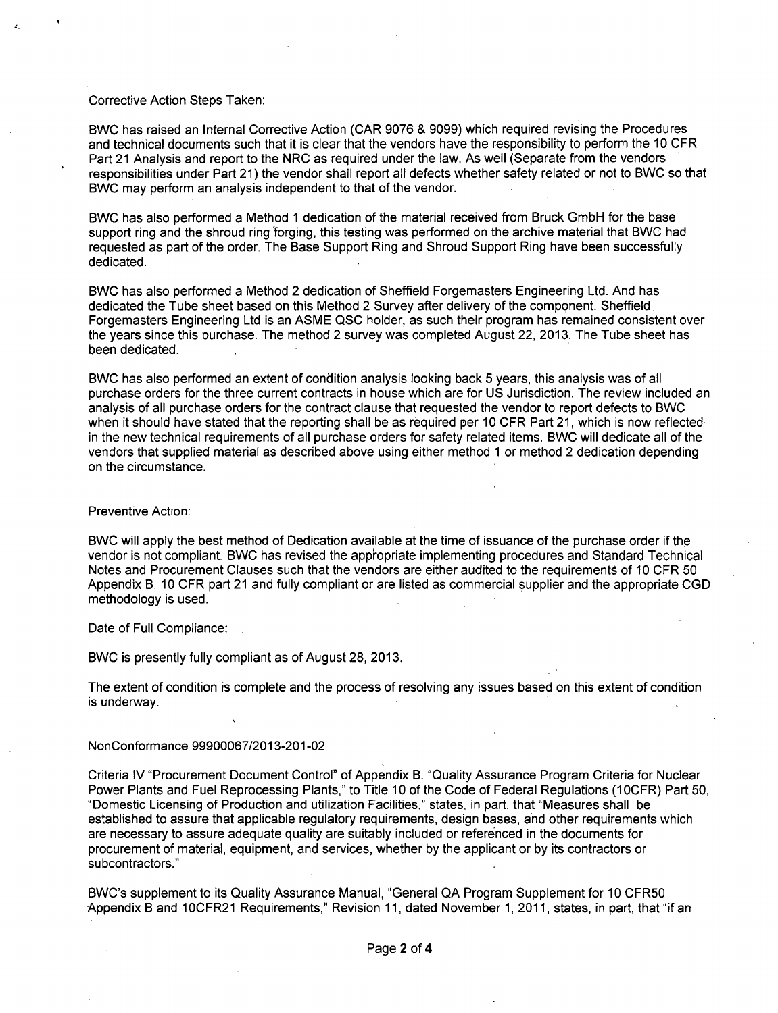## Corrective Action Steps Taken:

BWC has raised an Internal Corrective Action (CAR 9076 & 9099) which required revising the Procedures and technical documents such that it is clear that the vendors have the responsibility to perform the 10 CFR Part 21 Analysis and report to the NRC as required under the law. As well (Separate from the vendors responsibilities under Part 21) the vendor shall report all defects whether safety related or not to BWC so that BWC may perform an analysis independent to that of the vendor.

BWC has also performed a Method 1 dedication of the material received from Bruck GmbH for the base support ring and the shroud ring 'forging, this testing was performed on the archive material that BWC had requested as part of the order. The Base Support Ring and Shroud Support Ring have been successfully dedicated.

BWC has also performed a Method 2 dedication of Sheffield Forgemasters Engineering Ltd. And has dedicated the Tube sheet based on this Method 2 Survey after delivery of the component. Sheffield. Forgemasters Engineering Ltd is an ASME QSC holder, as such their program has remained consistent over the years since this purchase. The method 2 survey was completed August 22, 2013. The Tube sheet has been dedicated.

BWC has also performed an extent of condition analysis looking back 5 years, this analysis was of all purchase orders for the three current contracts in house which are for US Jurisdiction. The review included an analysis of all purchase orders for the contract clause that requested the vendor to report defects to BWC when it should have stated that the reporting shall be as required per 10 CFR Part 21, which is now reflected in the new technical requirements of all purchase orders for safety related items. BWC will dedicate all of the vendors that supplied material as described above using either method 1 or method 2 dedication depending on the circumstance.

### Preventive Action:

BWC will apply the best method of Dedication available at the time of issuance of the purchase order if the vendor is not compliant. BWC has revised the appropriate implementing procedures and Standard Technical Notes and Procurement Clauses such that the vendors are either audited to the requirements of 10 CFR 50 Appendix B, 10 CFR part 21 and fully compliant or are listed as commercial supplier and the appropriate CGD. methodology is used.

Date of Full Compliance:

BWC is presently fully compliant as of August 28, 2013.

The extent of condition is complete and the process of resolving any issues based on this extent of condition is underway.

#### NonConformance 99900067/2013-201-02

Criteria IV "Procurement Document Control" of Appendix B. "Quality Assurance Program Criteria for Nuclear Power Plants and Fuel Reprocessing Plants," to Title 10 of the Code of Federal Regulations (10CFR) Part 50, "Domestic Licensing of Production and utilization Facilities," states, in part, that "Measures shall be established to assure that applicable regulatory requirements, design bases, and other requirements which are necessary to assure adequate quality are suitably included or referenced in the documents for procurement of material, equipment, and services, whether by the applicant or by its contractors or subcontractors."

BWC's supplement to its Quality Assurance Manual, "General QA Program Supplement for 10 CFR50 Appendix B and 1OCFR21 Requirements," Revision 11, dated November 1,2011, states, in part, that "if an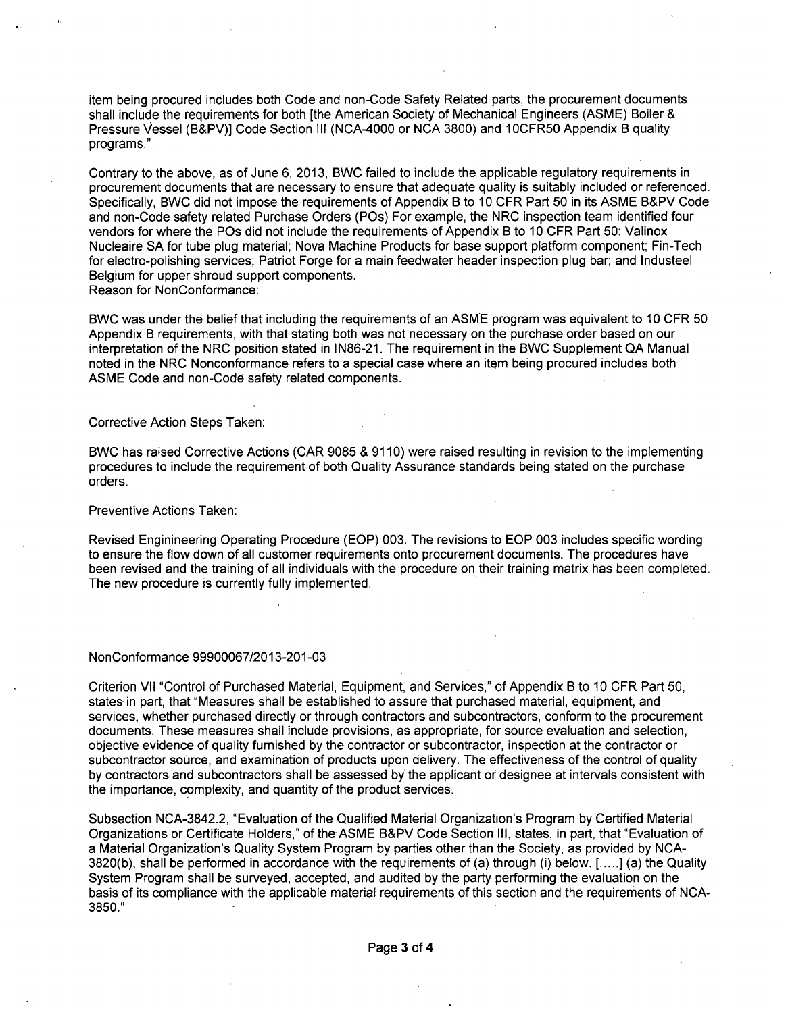item being procured includes both Code and non-Code Safety Related parts, the procurement documents shall include the requirements for both [the American Society of Mechanical Engineers (ASME) Boiler & Pressure Vessel (B&PV)] Code Section III (NCA-4000 or NCA 3800) and 1OCFR50 Appendix B quality programs."

Contrary to the above, as of June 6, 2013, BWC failed to include the applicable regulatory requirements in procurement documents that are necessary to ensure that adequate quality is suitably included or referenced. Specifically, BWC did not impose the requirements of Appendix B to 10 CFR Part 50 in its ASME B&PV Code and non-Code safety related Purchase Orders (POs) For example, the NRC inspection team identified four vendors for where the POs did not include the requirements of Appendix B to 10 CFR Part 50: Valinox Nucleaire SA for tube plug material; Nova Machine Products for base support platform component; Fin-Tech for electro-polishing services; Patriot Forge for a main feedwater header inspection plug bar; and Industeel Belgium for upper shroud support components. Reason for NonConformance:

BWC was under the belief that including the requirements of an ASME program was equivalent to 10 CFR 50 Appendix B requirements, with that stating both was not necessary on the purchase order based on our interpretation of the NRC position stated in IN86-21. The requirement in the BWC Supplement QA Manual noted in the NRC Nonconformance refers to a special case where an item being procured includes both ASME Code and non-Code safety related components.

## Corrective Action Steps Taken:

BWC has raised Corrective Actions (CAR 9085 & 9110) were raised resulting in revision to the implementing procedures to include the requirement of both Quality Assurance standards being stated on the purchase orders.

### Preventive Actions Taken:

Revised Enginineering Operating Procedure (EOP) 003. The revisions to EOP 003 includes specific wording to ensure the flow down of all customer requirements onto procurement documents. The procedures have been revised and the training of all individuals with the procedure on their training matrix has been completed. The new procedure is currently fully implemented.

## NonConformance 99900067/2013-201-03

Criterion VII "Control of Purchased Material, Equipment, and Services," of Appendix B to 10 CFR Part 50, states in part, that "Measures shall be established to assure that purchased material, equipment, and services, whether purchased directly or through contractors and subcontractors, conform to the procurement documents. These measures shall include provisions, as appropriate, for source evaluation and selection, objective evidence of quality furnished by the contractor or subcontractor, inspection at the contractor or subcontractor source, and examination of products upon delivery. The effectiveness of the control of quality by contractors and subcontractors shall be assessed by the applicant or designee at intervals consistent with the importance, complexity, and quantity of the product services.

Subsection NCA-3842.2, "Evaluation of the Qualified Material Organization's Program by Certified Material Organizations or Certificate Holders," of the ASME B&PV Code Section III, states, in part, that "Evaluation of a Material Organization's Quality System Program by parties other than the Society, as provided by NCA-3820(b), shall be performed in accordance with the requirements of (a) through (i) below. [ **..... ]** (a) the Quality System Program shall be surveyed, accepted, and audited by the party performing the evaluation on the basis of its compliance with the applicable material requirements of this section and the requirements of NCA-3850."